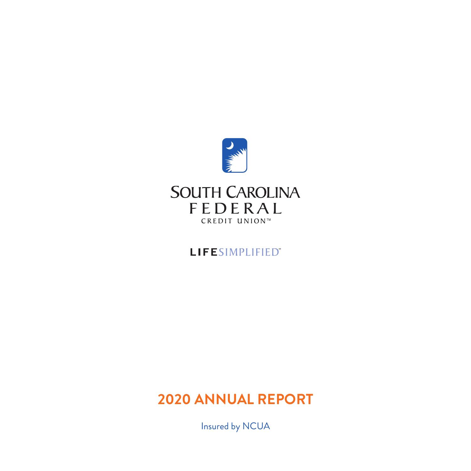

## LIFESIMPLIFIED"

# **2020 ANNUAL REPORT**

Insured by NCUA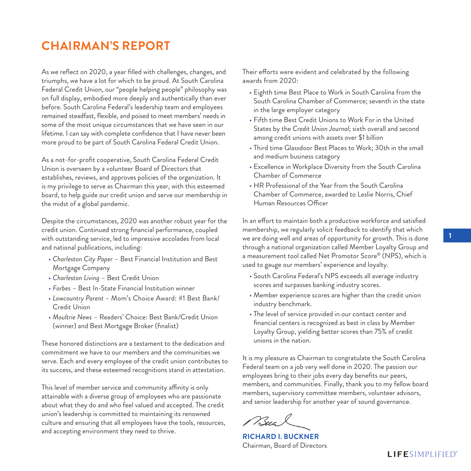## **CHAIRMAN'S REPORT**

As we reflect on 2020, a year filled with challenges, changes, and triumphs, we have a lot for which to be proud. At South Carolina Federal Credit Union, our "people helping people" philosophy was on full display, embodied more deeply and authentically than ever before. South Carolina Federal's leadership team and employees remained steadfast, flexible, and poised to meet members' needs in some of the most unique circumstances that we have seen in our lifetime. I can say with complete confidence that I have never been more proud to be part of South Carolina Federal Credit Union.

As a not-for-profit cooperative, South Carolina Federal Credit Union is overseen by a volunteer Board of Directors that establishes, reviews, and approves policies of the organization. It is my privilege to serve as Chairman this year, with this esteemed board, to help guide our credit union and serve our membership in the midst of a global pandemic.

Despite the circumstances, 2020 was another robust year for the credit union. Continued strong financial performance, coupled with outstanding service, led to impressive accolades from local and national publications, including:

- *Charleston City Paper* Best Financial Institution and Best Mortgage Company
- *Charleston Living* Best Credit Union
- *Forbes* Best In-State Financial Institution winner
- *Lowcountry Parent* Mom's Choice Award: #1 Best Bank/ Credit Union
- *Moultrie News* Readers' Choice: Best Bank/Credit Union (winner) and Best Mortgage Broker (finalist)

These honored distinctions are a testament to the dedication and commitment we have to our members and the communities we serve. Each and every employee of the credit union contributes to its success, and these esteemed recognitions stand in attestation.

This level of member service and community affinity is only attainable with a diverse group of employees who are passionate about what they do and who feel valued and accepted. The credit union's leadership is committed to maintaining its renowned culture and ensuring that all employees have the tools, resources, and accepting environment they need to thrive.

Their efforts were evident and celebrated by the following awards from 2020:

- Eighth time Best Place to Work in South Carolina from the South Carolina Chamber of Commerce; seventh in the state in the large employer category
- Fifth time Best Credit Unions to Work For in the United States by the *Credit Union Journal*; sixth overall and second among credit unions with assets over \$1 billion
- Third time Glassdoor Best Places to Work; 30th in the small and medium business category
- Excellence in Workplace Diversity from the South Carolina Chamber of Commerce
- HR Professional of the Year from the South Carolina Chamber of Commerce, awarded to Leslie Norris, Chief Human Resources Officer

In an effort to maintain both a productive workforce and satisfied membership, we regularly solicit feedback to identify that which we are doing well and areas of opportunity for growth. This is done through a national organization called Member Loyalty Group and a measurement tool called Net Promotor Score® (NPS), which is used to gauge our members' experience and loyalty.

- South Carolina Federal's NPS exceeds all average industry scores and surpasses banking industry scores.
- Member experience scores are higher than the credit union industry benchmark.
- The level of service provided in our contact center and financial centers is recognized as best in class by Member Loyalty Group, yielding better scores than 75% of credit unions in the nation.

It is my pleasure as Chairman to congratulate the South Carolina Federal team on a job very well done in 2020. The passion our employees bring to their jobs every day benefits our peers, members, and communities. Finally, thank you to my fellow board members, supervisory committee members, volunteer advisors, and senior leadership for another year of sound governance.

**RICHARD I. BUCKNER** Chairman, Board of Directors

### **LIFESIMPLIFIED**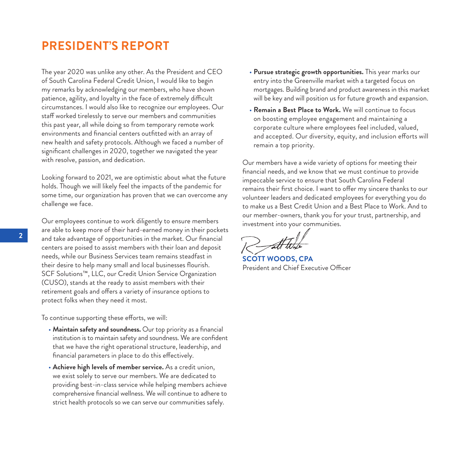### **PRESIDENT'S REPORT**

The year 2020 was unlike any other. As the President and CEO of South Carolina Federal Credit Union, I would like to begin my remarks by acknowledging our members, who have shown patience, agility, and loyalty in the face of extremely difficult circumstances. I would also like to recognize our employees. Our staff worked tirelessly to serve our members and communities this past year, all while doing so from temporary remote work environments and financial centers outfitted with an array of new health and safety protocols. Although we faced a number of significant challenges in 2020, together we navigated the year with resolve, passion, and dedication.

Looking forward to 2021, we are optimistic about what the future holds. Though we will likely feel the impacts of the pandemic for some time, our organization has proven that we can overcome any challenge we face.

Our employees continue to work diligently to ensure members are able to keep more of their hard-earned money in their pockets and take advantage of opportunities in the market. Our financial centers are poised to assist members with their loan and deposit needs, while our Business Services team remains steadfast in their desire to help many small and local businesses flourish. SCF Solutions™, LLC, our Credit Union Service Organization (CUSO), stands at the ready to assist members with their retirement goals and offers a variety of insurance options to protect folks when they need it most.

To continue supporting these efforts, we will:

- Maintain safety and soundness. Our top priority as a financial institution is to maintain safety and soundness. We are confident that we have the right operational structure, leadership, and financial parameters in place to do this effectively.
- **Achieve high levels of member service.** As a credit union, we exist solely to serve our members. We are dedicated to providing best-in-class service while helping members achieve comprehensive financial wellness. We will continue to adhere to strict health protocols so we can serve our communities safely.
- **Pursue strategic growth opportunities.** This year marks our entry into the Greenville market with a targeted focus on mortgages. Building brand and product awareness in this market will be key and will position us for future growth and expansion.
- **Remain a Best Place to Work.** We will continue to focus on boosting employee engagement and maintaining a corporate culture where employees feel included, valued, and accepted. Our diversity, equity, and inclusion efforts will remain a top priority.

Our members have a wide variety of options for meeting their financial needs, and we know that we must continue to provide impeccable service to ensure that South Carolina Federal remains their first choice. I want to offer my sincere thanks to our volunteer leaders and dedicated employees for everything you do to make us a Best Credit Union and a Best Place to Work. And to our member-owners, thank you for your trust, partnership, and investment into your communities.

**SCOTT WOODS, CPA** President and Chief Executive Officer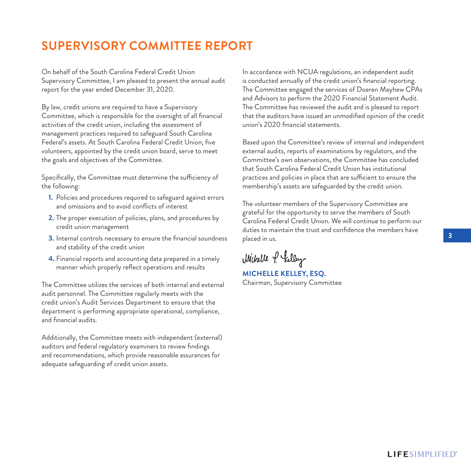# **SUPERVISORY COMMITTEE REPORT**

On behalf of the South Carolina Federal Credit Union Supervisory Committee, I am pleased to present the annual audit report for the year ended December 31, 2020.

By law, credit unions are required to have a Supervisory Committee, which is responsible for the oversight of all financial activities of the credit union, including the assessment of management practices required to safeguard South Carolina Federal's assets. At South Carolina Federal Credit Union, five volunteers, appointed by the credit union board, serve to meet the goals and objectives of the Committee.

Specifically, the Committee must determine the sufficiency of the following:

- **1.** Policies and procedures required to safeguard against errors and omissions and to avoid conflicts of interest
- **2.** The proper execution of policies, plans, and procedures by credit union management
- **3.** Internal controls necessary to ensure the financial soundness and stability of the credit union
- **4.** Financial reports and accounting data prepared in a timely manner which properly reflect operations and results

The Committee utilizes the services of both internal and external audit personnel. The Committee regularly meets with the credit union's Audit Services Department to ensure that the department is performing appropriate operational, compliance, and financial audits.

Additionally, the Committee meets with independent (external) auditors and federal regulatory examiners to review findings and recommendations, which provide reasonable assurances for adequate safeguarding of credit union assets.

In accordance with NCUA regulations, an independent audit is conducted annually of the credit union's financial reporting. The Committee engaged the services of Doeren Mayhew CPAs and Advisors to perform the 2020 Financial Statement Audit. The Committee has reviewed the audit and is pleased to report that the auditors have issued an unmodified opinion of the credit union's 2020 financial statements.

Based upon the Committee's review of internal and independent external audits, reports of examinations by regulators, and the Committee's own observations, the Committee has concluded that South Carolina Federal Credit Union has institutional practices and policies in place that are sufficient to ensure the membership's assets are safeguarded by the credit union.

The volunteer members of the Supervisory Committee are grateful for the opportunity to serve the members of South Carolina Federal Credit Union. We will continue to perform our duties to maintain the trust and confidence the members have placed in us.

Michelle P helley

**MICHELLE KELLEY, ESQ.** Chairman, Supervisory Committee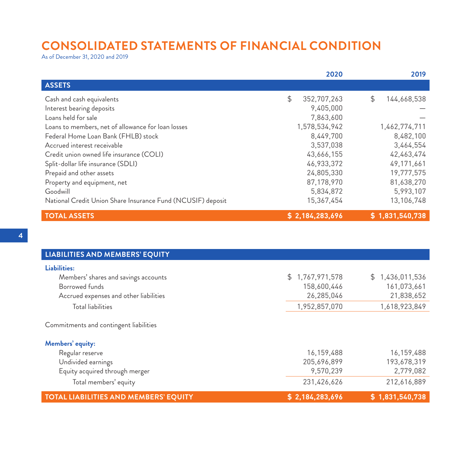## **CONSOLIDATED STATEMENTS OF FINANCIAL CONDITION**

As of December 31, 2020 and 2019

|                                                             | 2020              | 2019              |
|-------------------------------------------------------------|-------------------|-------------------|
| <b>ASSETS</b>                                               |                   |                   |
| Cash and cash equivalents                                   | \$<br>352,707,263 | \$<br>144,668,538 |
| Interest bearing deposits                                   | 9,405,000         |                   |
| Loans held for sale                                         | 7,863,600         |                   |
| Loans to members, net of allowance for loan losses          | 1,578,534,942     | 1,462,774,711     |
| Federal Home Loan Bank (FHLB) stock                         | 8,449,700         | 8,482,100         |
| Accrued interest receivable                                 | 3,537,038         | 3,464,554         |
| Credit union owned life insurance (COLI)                    | 43,666,155        | 42,463,474        |
| Split-dollar life insurance (SDLI)                          | 46,933,372        | 49,171,661        |
| Prepaid and other assets                                    | 24,805,330        | 19,777,575        |
| Property and equipment, net                                 | 87,178,970        | 81,638,270        |
| Goodwill                                                    | 5,834,872         | 5,993,107         |
| National Credit Union Share Insurance Fund (NCUSIF) deposit | 15,367,454        | 13,106,748        |
| <b>TOTAL ASSETS</b>                                         | \$2,184,283,696   | \$1,831,540,738   |

| <b>LIABILITIES AND MEMBERS' EQUITY</b>       |                 |                     |
|----------------------------------------------|-----------------|---------------------|
| Liabilities:                                 |                 |                     |
| Members' shares and savings accounts         | \$1,767,971,578 | 1,436,011,536<br>S. |
| Borrowed funds                               | 158,600,446     | 161,073,661         |
| Accrued expenses and other liabilities       | 26,285,046      | 21,838,652          |
| <b>Total liabilities</b>                     | 1,952,857,070   | 1,618,923,849       |
| Commitments and contingent liabilities       |                 |                     |
| Members' equity:                             |                 |                     |
| Regular reserve                              | 16,159,488      | 16,159,488          |
| Undivided earnings                           | 205,696,899     | 193,678,319         |
| Equity acquired through merger               | 9,570,239       | 2,779,082           |
| Total members' equity                        | 231,426,626     | 212,616,889         |
| <b>TOTAL LIABILITIES AND MEMBERS' EQUITY</b> | \$2,184,283,696 | \$1,831,540,738     |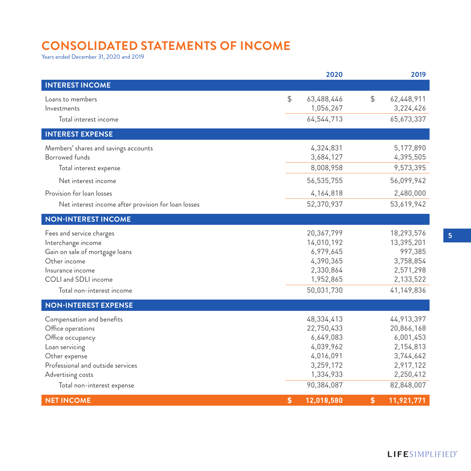# **CONSOLIDATED STATEMENTS OF INCOME**

Years ended December 31, 2020 and 2019

|                                                                                                                                                                                               | 2020                                                                                                    |               | 2019                                                                                                    |
|-----------------------------------------------------------------------------------------------------------------------------------------------------------------------------------------------|---------------------------------------------------------------------------------------------------------|---------------|---------------------------------------------------------------------------------------------------------|
| <b>INTEREST INCOME</b>                                                                                                                                                                        |                                                                                                         |               |                                                                                                         |
| Loans to members<br>Investments<br>Total interest income                                                                                                                                      | \$<br>63,488,446<br>1,056,267<br>64,544,713                                                             | $\frac{1}{2}$ | 62,448,911<br>3,224,426<br>65,673,337                                                                   |
| <b>INTEREST EXPENSE</b>                                                                                                                                                                       |                                                                                                         |               |                                                                                                         |
| Members' shares and savings accounts<br><b>Borrowed</b> funds<br>Total interest expense                                                                                                       | 4,324,831<br>3,684,127<br>8,008,958                                                                     |               | 5,177,890<br>4,395,505<br>9,573,395                                                                     |
| Net interest income                                                                                                                                                                           | 56,535,755                                                                                              |               | 56,099,942                                                                                              |
| Provision for loan losses<br>Net interest income after provision for loan losses                                                                                                              | 4,164,818<br>52,370,937                                                                                 |               | 2,480,000<br>53,619,942                                                                                 |
| <b>NON-INTEREST INCOME</b>                                                                                                                                                                    |                                                                                                         |               |                                                                                                         |
| Fees and service charges<br>Interchange income<br>Gain on sale of mortgage loans<br>Other income<br>Insurance income<br>COLI and SDLI income<br>Total non-interest income                     | 20,367,799<br>14,010,192<br>6,979,645<br>4,390,365<br>2,330,864<br>1,952,865<br>50,031,730              |               | 18,293,576<br>13,395,201<br>997,385<br>3,758,854<br>2,571,298<br>2,133,522<br>41,149,836                |
| <b>NON-INTEREST EXPENSE</b>                                                                                                                                                                   |                                                                                                         |               |                                                                                                         |
| Compensation and benefits<br>Office operations<br>Office occupancy<br>Loan servicing<br>Other expense<br>Professional and outside services<br>Advertising costs<br>Total non-interest expense | 48,334,413<br>22,750,433<br>6,649,083<br>4,039,962<br>4,016,091<br>3,259,172<br>1,334,933<br>90,384,087 |               | 44,913,397<br>20,866,168<br>6,001,453<br>2,154,813<br>3,744,642<br>2,917,122<br>2,250,412<br>82,848,007 |
| <b>NET INCOME</b>                                                                                                                                                                             | \$<br>12,018,580                                                                                        | \$            | 11,921,771                                                                                              |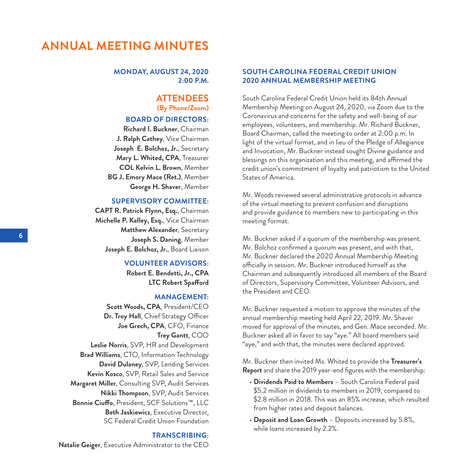### **ANNUAL MEETING MINUTES**

#### **MONDAY, AUGUST 24, 2020 2:00 P.M.**

### **ATTENDEES (By Phone/Zoom)**

### **BOARD OF DIRECTORS:**

**Richard I. Buckner**, Chairman **J. Ralph Cathey**, Vice Chairman **Joseph E. Bolchoz, Jr.**, Secretary **Mary L. Whited, CPA**, Treasurer **COL Kelvin L. Brown**, Member **BG J. Emory Mace (Ret.)**, Member **George H. Shaver**, Member

#### **SUPERVISORY COMMITTEE:**

**CAPT R. Patrick Flynn, Esq.**, Chairman **Michelle P. Kelley, Esq.**, Vice Chairman **Matthew Alexander**, Secretary **Joseph S. Daning**, Member **Joseph E. Bolchoz, Jr.**, Board Liaison

#### **VOLUNTEER ADVISORS:**

**Robert E. Bendetti, Jr., CPA LTC Robert Spafford**

#### **MANAGEMENT:**

**Scott Woods, CPA**, President/CEO **Dr. Troy Hall**, Chief Strategy Officer **Joe Grech, CPA**, CFO, Finance **Trey Gantt**, COO **Leslie Norris**, SVP, HR and Development **Brad Williams**, CTO, Information Technology **David Dulaney**, SVP, Lending Services **Kevin Kosco**, SVP, Retail Sales and Service **Margaret Miller**, Consulting SVP, Audit Services **Nikki Thompson**, SVP, Audit Services **Bonnie Ciuffo**, President, SCF Solutions™, LLC **Beth Jaskiewicz**, Executive Director, SC Federal Credit Union Foundation

#### **TRANSCRIBING:**

**Natalie Geiger**, Executive Administrator to the CEO

### **SOUTH CAROLINA FEDERAL CREDIT UNION 2020 ANNUAL MEMBERSHIP MEETING**

South Carolina Federal Credit Union held its 84th Annual Membership Meeting on August 24, 2020, via Zoom due to the Coronavirus and concerns for the safety and well-being of our employees, volunteers, and membership. Mr. Richard Buckner, Board Chairman, called the meeting to order at 2:00 p.m. In light of the virtual format, and in lieu of the Pledge of Allegiance and Invocation, Mr. Buckner instead sought Divine guidance and blessings on this organization and this meeting, and affirmed the credit union's commitment of loyalty and patriotism to the United States of America.

Mr. Woods reviewed several administrative protocols in advance of the virtual meeting to prevent confusion and disruptions and provide guidance to members new to participating in this meeting format.

Mr. Buckner asked if a quorum of the membership was present. Mr. Bolchoz confirmed a quorum was present, and with that, Mr. Buckner declared the 2020 Annual Membership Meeting officially in session. Mr. Buckner introduced himself as the Chairman and subsequently introduced all members of the Board of Directors, Supervisory Committee, Volunteer Advisors, and the President and CEO.

Mr. Buckner requested a motion to approve the minutes of the annual membership meeting held April 22, 2019. Mr. Shaver moved for approval of the minutes, and Gen. Mace seconded. Mr. Buckner asked all in favor to say "aye." All board members said "aye," and with that, the minutes were declared approved.

Mr. Buckner then invited Ms. Whited to provide the **Treasurer's Report** and share the 2019 year-end figures with the membership:

- **Dividends Paid to Members** South Carolina Federal paid \$5.2 million in dividends to members in 2019, compared to \$2.8 million in 2018. This was an 85% increase, which resulted from higher rates and deposit balances.
- **Deposit and Loan Growth** Deposits increased by 5.8%, while loans increased by 2.2%.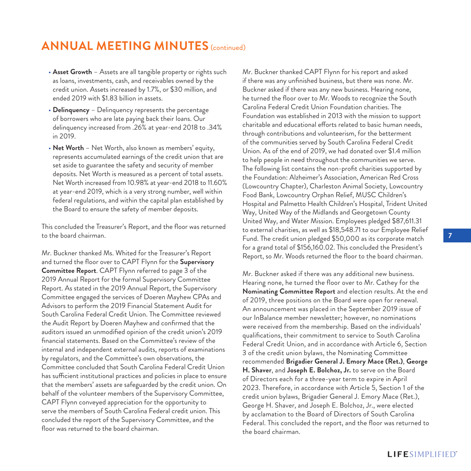## **ANNUAL MEETING MINUTES** (continued)

- **Asset Growth** Assets are all tangible property or rights such as loans, investments, cash, and receivables owned by the credit union. Assets increased by 1.7%, or \$30 million, and ended 2019 with \$1.83 billion in assets.
- **Delinquency** Delinquency represents the percentage of borrowers who are late paying back their loans. Our delinquency increased from .26% at year-end 2018 to .34% in 2019.
- **Net Worth** Net Worth, also known as members' equity, represents accumulated earnings of the credit union that are set aside to guarantee the safety and security of member deposits. Net Worth is measured as a percent of total assets. Net Worth increased from 10.98% at year-end 2018 to 11.60% at year-end 2019, which is a very strong number, well within federal regulations, and within the capital plan established by the Board to ensure the safety of member deposits.

This concluded the Treasurer's Report, and the floor was returned to the board chairman.

Mr. Buckner thanked Ms. Whited for the Treasurer's Report and turned the floor over to CAPT Flynn for the **Supervisory Committee Report**. CAPT Flynn referred to page 3 of the 2019 Annual Report for the formal Supervisory Committee Report. As stated in the 2019 Annual Report, the Supervisory Committee engaged the services of Doeren Mayhew CPAs and Advisors to perform the 2019 Financial Statement Audit for South Carolina Federal Credit Union. The Committee reviewed the Audit Report by Doeren Mayhew and confirmed that the auditors issued an unmodified opinion of the credit union's 2019 financial statements. Based on the Committee's review of the internal and independent external audits, reports of examinations by regulators, and the Committee's own observations, the Committee concluded that South Carolina Federal Credit Union has sufficient institutional practices and policies in place to ensure that the members' assets are safeguarded by the credit union. On behalf of the volunteer members of the Supervisory Committee, CAPT Flynn conveyed appreciation for the opportunity to serve the members of South Carolina Federal credit union. This concluded the report of the Supervisory Committee, and the floor was returned to the board chairman.

Mr. Buckner thanked CAPT Flynn for his report and asked if there was any unfinished business, but there was none. Mr. Buckner asked if there was any new business. Hearing none, he turned the floor over to Mr. Woods to recognize the South Carolina Federal Credit Union Foundation charities. The Foundation was established in 2013 with the mission to support charitable and educational efforts related to basic human needs, through contributions and volunteerism, for the betterment of the communities served by South Carolina Federal Credit Union. As of the end of 2019, we had donated over \$1.4 million to help people in need throughout the communities we serve. The following list contains the non-profit charities supported by the Foundation: Alzheimer's Association, American Red Cross (Lowcountry Chapter), Charleston Animal Society, Lowcountry Food Bank, Lowcountry Orphan Relief, MUSC Children's Hospital and Palmetto Health Children's Hospital, Trident United Way, United Way of the Midlands and Georgetown County United Way, and Water Mission. Employees pledged \$87,611.31 to external charities, as well as \$18,548.71 to our Employee Relief Fund. The credit union pledged \$50,000 as its corporate match for a grand total of \$156,160.02. This concluded the President's Report, so Mr. Woods returned the floor to the board chairman.

Mr. Buckner asked if there was any additional new business. Hearing none, he turned the floor over to Mr. Cathey for the **Nominating Committee Report** and election results. At the end of 2019, three positions on the Board were open for renewal. An announcement was placed in the September 2019 issue of our InBalance member newsletter; however, no nominations were received from the membership. Based on the individuals' qualifications, their commitment to service to South Carolina Federal Credit Union, and in accordance with Article 6, Section 3 of the credit union bylaws, the Nominating Committee recommended **Brigadier General J. Emory Mace (Ret.)**, **George H. Shaver**, and **Joseph E. Bolchoz, Jr.** to serve on the Board of Directors each for a three-year term to expire in April 2023. Therefore, in accordance with Article 5, Section 1 of the credit union bylaws, Brigadier General J. Emory Mace (Ret.), George H. Shaver, and Joseph E. Bolchoz, Jr., were elected by acclamation to the Board of Directors of South Carolina Federal. This concluded the report, and the floor was returned to the board chairman.

### **LIFESIMPLIFIED**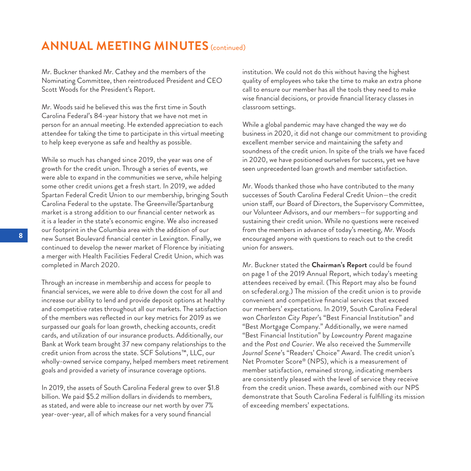## **ANNUAL MEETING MINUTES** (continued)

Mr. Buckner thanked Mr. Cathey and the members of the Nominating Committee, then reintroduced President and CEO Scott Woods for the President's Report.

Mr. Woods said he believed this was the first time in South Carolina Federal's 84-year history that we have not met in person for an annual meeting. He extended appreciation to each attendee for taking the time to participate in this virtual meeting to help keep everyone as safe and healthy as possible.

While so much has changed since 2019, the year was one of growth for the credit union. Through a series of events, we were able to expand in the communities we serve, while helping some other credit unions get a fresh start. In 2019, we added Spartan Federal Credit Union to our membership, bringing South Carolina Federal to the upstate. The Greenville/Spartanburg market is a strong addition to our financial center network as it is a leader in the state's economic engine. We also increased our footprint in the Columbia area with the addition of our new Sunset Boulevard financial center in Lexington. Finally, we continued to develop the newer market of Florence by initiating a merger with Health Facilities Federal Credit Union, which was completed in March 2020.

Through an increase in membership and access for people to financial services, we were able to drive down the cost for all and increase our ability to lend and provide deposit options at healthy and competitive rates throughout all our markets. The satisfaction of the members was reflected in our key metrics for 2019 as we surpassed our goals for loan growth, checking accounts, credit cards, and utilization of our insurance products. Additionally, our Bank at Work team brought 37 new company relationships to the credit union from across the state. SCF Solutions™, LLC, our wholly-owned service company, helped members meet retirement goals and provided a variety of insurance coverage options.

In 2019, the assets of South Carolina Federal grew to over \$1.8 billion. We paid \$5.2 million dollars in dividends to members, as stated, and were able to increase our net worth by over 7% year-over-year, all of which makes for a very sound financial

institution. We could not do this without having the highest quality of employees who take the time to make an extra phone call to ensure our member has all the tools they need to make wise financial decisions, or provide financial literacy classes in classroom settings.

While a global pandemic may have changed the way we do business in 2020, it did not change our commitment to providing excellent member service and maintaining the safety and soundness of the credit union. In spite of the trials we have faced in 2020, we have positioned ourselves for success, yet we have seen unprecedented loan growth and member satisfaction.

Mr. Woods thanked those who have contributed to the many successes of South Carolina Federal Credit Union—the credit union staff, our Board of Directors, the Supervisory Committee, our Volunteer Advisors, and our members—for supporting and sustaining their credit union. While no questions were received from the members in advance of today's meeting, Mr. Woods encouraged anyone with questions to reach out to the credit union for answers.

Mr. Buckner stated the **Chairman's Report** could be found on page 1 of the 2019 Annual Report, which today's meeting attendees received by email. (This Report may also be found on scfederal.org.) The mission of the credit union is to provide convenient and competitive financial services that exceed our members' expectations. In 2019, South Carolina Federal won *Charleston City Paper*'s "Best Financial Institution" and "Best Mortgage Company." Additionally, we were named "Best Financial Institution" by *Lowcountry Parent* magazine and the *Post and Courier*. We also received the *Summerville Journal Scene*'s "Readers' Choice" Award. The credit union's Net Promoter Score® (NPS), which is a measurement of member satisfaction, remained strong, indicating members are consistently pleased with the level of service they receive from the credit union. These awards, combined with our NPS demonstrate that South Carolina Federal is fulfilling its mission of exceeding members' expectations.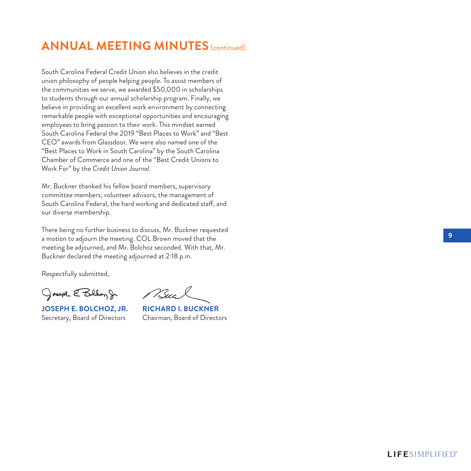## **ANNUAL MEETING MINUTES** (continued)

South Carolina Federal Credit Union also believes in the credit union philosophy of people helping people. To assist members of the communities we serve, we awarded \$50,000 in scholarships to students through our annual scholarship program. Finally, we believe in providing an excellent work environment by connecting remarkable people with exceptional opportunities and encouraging employees to bring passion to their work. This mindset earned South Carolina Federal the 2019 "Best Places to Work" and "Best CEO" awards from Glassdoor. We were also named one of the "Best Places to Work in South Carolina" by the South Carolina Chamber of Commerce and one of the "Best Credit Unions to Work For" by the *Credit Union Journal* .

Mr. Buckner thanked his fellow board members, supervisory committee members, volunteer advisors, the management of South Carolina Federal, the hard working and dedicated staff, and our diverse membership.

There being no further business to discuss, Mr. Buckner requested a motion to adjourn the meeting. COL Brown moved that the meeting be adjourned, and Mr. Bolchoz seconded. With that, Mr. Buckner declared the meeting adjourned at 2:18 p.m.

Respectfully submitted,

Joseph E Bolhoy Jr

**JOSEPH E. BOLCHOZ, JR. RICHARD I. BUCKNER** Secretary, Board of Directors Chairman, Board of Directors

Buc

**9**